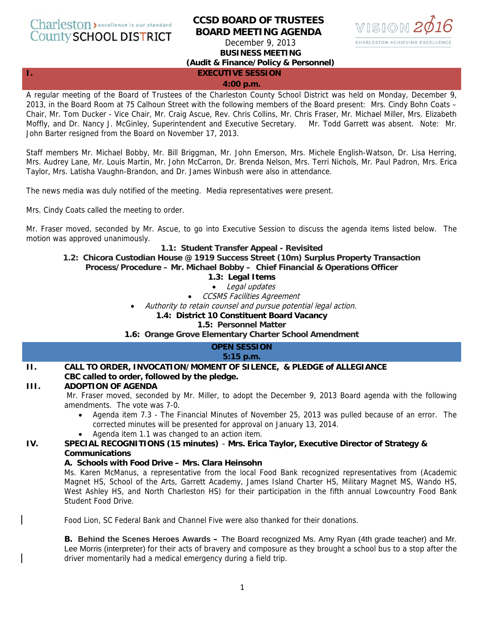# Charleston > excellence is our standard **County SCHOOL DISTRICT**

# **CCSD BOARD OF TRUSTEES BOARD MEETING AGENDA**

December 9, 2013 **BUSINESS MEETING** 



# **(Audit & Finance/Policy & Personnel)**

**I. EXECUTIVE SESSION** 

#### **4:00 p.m.**

A regular meeting of the Board of Trustees of the Charleston County School District was held on Monday, December 9, 2013, in the Board Room at 75 Calhoun Street with the following members of the Board present: Mrs. Cindy Bohn Coats – Chair, Mr. Tom Ducker - Vice Chair, Mr. Craig Ascue, Rev. Chris Collins, Mr. Chris Fraser, Mr. Michael Miller, Mrs. Elizabeth Moffly, and Dr. Nancy J. McGinley, Superintendent and Executive Secretary. Mr. Todd Garrett was absent. Note: Mr. John Barter resigned from the Board on November 17, 2013.

Staff members Mr. Michael Bobby, Mr. Bill Briggman, Mr. John Emerson, Mrs. Michele English-Watson, Dr. Lisa Herring, Mrs. Audrey Lane, Mr. Louis Martin, Mr. John McCarron, Dr. Brenda Nelson, Mrs. Terri Nichols, Mr. Paul Padron, Mrs. Erica Taylor, Mrs. Latisha Vaughn-Brandon, and Dr. James Winbush were also in attendance.

The news media was duly notified of the meeting. Media representatives were present.

Mrs. Cindy Coats called the meeting to order.

Mr. Fraser moved, seconded by Mr. Ascue, to go into Executive Session to discuss the agenda items listed below. The motion was approved unanimously.

#### **1.1: Student Transfer Appeal - Revisited**

# **1.2: Chicora Custodian House @ 1919 Success Street (10m) Surplus Property Transaction**

**Process/Procedure – Mr. Michael Bobby – Chief Financial & Operations Officer**

#### **1.3: Legal Items**

• Legal updates

• CCSMS Facilities Agreement

• Authority to retain counsel and pursue potential legal action.

#### **1.4: District 10 Constituent Board Vacancy**

#### **1.5: Personnel Matter**

**1.6: Orange Grove Elementary Charter School Amendment**

# **OPEN SESSION**

#### **5:15 p.m.**

# **II. CALL TO ORDER, INVOCATION/MOMENT OF SILENCE, & PLEDGE of ALLEGIANCE**

# **CBC called to order, followed by the pledge.**

#### **III. ADOPTION OF AGENDA**

Mr. Fraser moved, seconded by Mr. Miller, to adopt the December 9, 2013 Board agenda with the following amendments. The vote was 7-0.

- Agenda item 7.3 The Financial Minutes of November 25, 2013 was pulled because of an error. The corrected minutes will be presented for approval on January 13, 2014.
- Agenda item 1.1 was changed to an action item.

# **IV. SPECIAL RECOGNITIONS (15 minutes)** – **Mrs. Erica Taylor, Executive Director of Strategy & Communications**

#### **A. Schools with Food Drive – Mrs. Clara Heinsohn**

Ms. Karen McManus, a representative from the local Food Bank recognized representatives from (Academic Magnet HS, School of the Arts, Garrett Academy, James Island Charter HS, Military Magnet MS, Wando HS, West Ashley HS, and North Charleston HS) for their participation in the fifth annual Lowcountry Food Bank Student Food Drive.

Food Lion, SC Federal Bank and Channel Five were also thanked for their donations.

**B. Behind the Scenes Heroes Awards –** The Board recognized Ms. Amy Ryan (4th grade teacher) and Mr. Lee Morris (interpreter) for their acts of bravery and composure as they brought a school bus to a stop after the driver momentarily had a medical emergency during a field trip.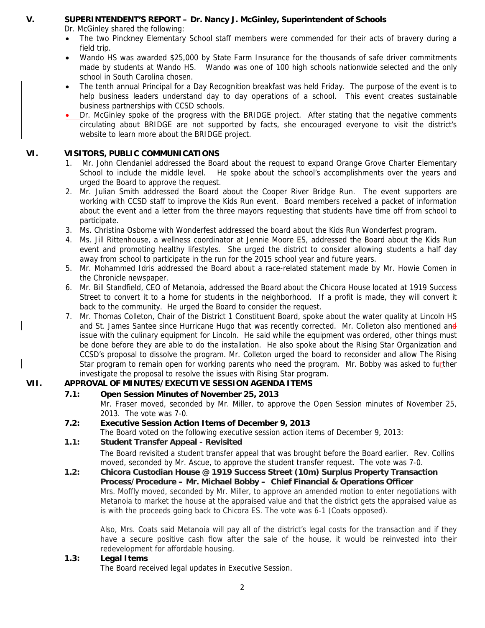# **V. SUPERINTENDENT'S REPORT – Dr. Nancy J. McGinley, Superintendent of Schools**

Dr. McGinley shared the following:

- The two Pinckney Elementary School staff members were commended for their acts of bravery during a field trip.
- Wando HS was awarded \$25,000 by State Farm Insurance for the thousands of safe driver commitments made by students at Wando HS. Wando was one of 100 high schools nationwide selected and the only school in South Carolina chosen.
- The tenth annual Principal for a Day Recognition breakfast was held Friday. The purpose of the event is to help business leaders understand day to day operations of a school. This event creates sustainable business partnerships with CCSD schools.
- Dr. McGinley spoke of the progress with the BRIDGE project. After stating that the negative comments circulating about BRIDGE are not supported by facts, she encouraged everyone to visit the district's website to learn more about the BRIDGE project.

# **VI. VISITORS, PUBLIC COMMUNICATIONS**

- 1. Mr. John Clendaniel addressed the Board about the request to expand Orange Grove Charter Elementary School to include the middle level. He spoke about the school's accomplishments over the years and urged the Board to approve the request.
- 2. Mr. Julian Smith addressed the Board about the Cooper River Bridge Run. The event supporters are working with CCSD staff to improve the Kids Run event. Board members received a packet of information about the event and a letter from the three mayors requesting that students have time off from school to participate.
- 3. Ms. Christina Osborne with Wonderfest addressed the board about the Kids Run Wonderfest program.
- 4. Ms. Jill Rittenhouse, a wellness coordinator at Jennie Moore ES, addressed the Board about the Kids Run event and promoting healthy lifestyles. She urged the district to consider allowing students a half day away from school to participate in the run for the 2015 school year and future years.
- 5. Mr. Mohammed Idris addressed the Board about a race-related statement made by Mr. Howie Comen in the Chronicle newspaper.
- 6. Mr. Bill Standfield, CEO of Metanoia, addressed the Board about the Chicora House located at 1919 Success Street to convert it to a home for students in the neighborhood. If a profit is made, they will convert it back to the community. He urged the Board to consider the request.
- 7. Mr. Thomas Colleton, Chair of the District 1 Constituent Board, spoke about the water quality at Lincoln HS and St. James Santee since Hurricane Hugo that was recently corrected. Mr. Colleton also mentioned and issue with the culinary equipment for Lincoln. He said while the equipment was ordered, other things must be done before they are able to do the installation. He also spoke about the Rising Star Organization and CCSD's proposal to dissolve the program. Mr. Colleton urged the board to reconsider and allow The Rising Star program to remain open for working parents who need the program. Mr. Bobby was asked to further investigate the proposal to resolve the issues with Rising Star program.

# **VII. APPROVAL OF MINUTES/EXECUTIVE SESSION AGENDA ITEMS**

# **7.1: Open Session Minutes of November 25, 2013**

- Mr. Fraser moved, seconded by Mr. Miller, to approve the Open Session minutes of November 25, 2013. The vote was 7-0.
- **7.2: Executive Session Action Items of December 9, 2013**
- The Board voted on the following executive session action items of December 9, 2013:

# **1.1: Student Transfer Appeal - Revisited**

The Board revisited a student transfer appeal that was brought before the Board earlier. Rev. Collins moved, seconded by Mr. Ascue, to approve the student transfer request. The vote was 7-0.

**1.2: Chicora Custodian House @ 1919 Success Street (10m) Surplus Property Transaction Process/Procedure – Mr. Michael Bobby – Chief Financial & Operations Officer** Mrs. Moffly moved, seconded by Mr. Miller, to approve an amended motion to enter negotiations with Metanoia to market the house at the appraised value and that the district gets the appraised value as is with the proceeds going back to Chicora ES. The vote was 6-1 (Coats opposed).

Also, Mrs. Coats said Metanoia will pay all of the district's legal costs for the transaction and if they have a secure positive cash flow after the sale of the house, it would be reinvested into their redevelopment for affordable housing.

# **1.3: Legal Items**

The Board received legal updates in Executive Session.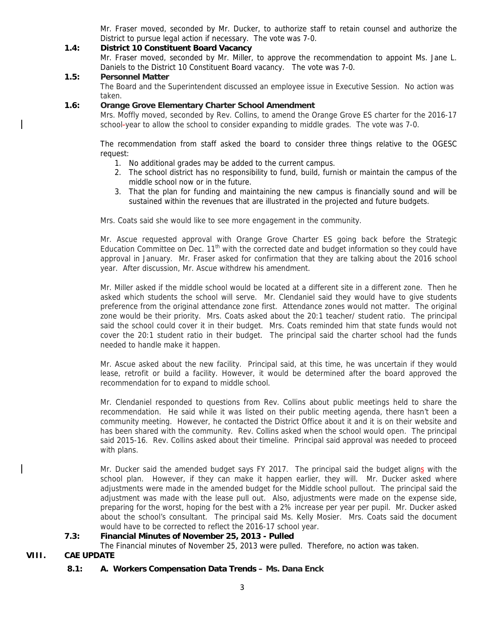Mr. Fraser moved, seconded by Mr. Ducker, to authorize staff to retain counsel and authorize the District to pursue legal action if necessary. The vote was 7-0.

# **1.4: District 10 Constituent Board Vacancy**

Mr. Fraser moved, seconded by Mr. Miller, to approve the recommendation to appoint Ms. Jane L. Daniels to the District 10 Constituent Board vacancy. The vote was 7-0.

#### **1.5: Personnel Matter**

The Board and the Superintendent discussed an employee issue in Executive Session. No action was taken.

#### **1.6: Orange Grove Elementary Charter School Amendment**

Mrs. Moffly moved, seconded by Rev. Collins, to amend the Orange Grove ES charter for the 2016-17 school-year to allow the school to consider expanding to middle grades. The vote was 7-0.

The recommendation from staff asked the board to consider three things relative to the OGESC request:

- 1. No additional grades may be added to the current campus.
- 2. The school district has no responsibility to fund, build, furnish or maintain the campus of the middle school now or in the future.
- 3. That the plan for funding and maintaining the new campus is financially sound and will be sustained within the revenues that are illustrated in the projected and future budgets.

Mrs. Coats said she would like to see more engagement in the community.

Mr. Ascue requested approval with Orange Grove Charter ES going back before the Strategic Education Committee on Dec. 11<sup>th</sup> with the corrected date and budget information so they could have approval in January. Mr. Fraser asked for confirmation that they are talking about the 2016 school year. After discussion, Mr. Ascue withdrew his amendment.

Mr. Miller asked if the middle school would be located at a different site in a different zone. Then he asked which students the school will serve. Mr. Clendaniel said they would have to give students preference from the original attendance zone first. Attendance zones would not matter. The original zone would be their priority. Mrs. Coats asked about the 20:1 teacher/ student ratio. The principal said the school could cover it in their budget. Mrs. Coats reminded him that state funds would not cover the 20:1 student ratio in their budget. The principal said the charter school had the funds needed to handle make it happen.

Mr. Ascue asked about the new facility. Principal said, at this time, he was uncertain if they would lease, retrofit or build a facility. However, it would be determined after the board approved the recommendation for to expand to middle school.

Mr. Clendaniel responded to questions from Rev. Collins about public meetings held to share the recommendation. He said while it was listed on their public meeting agenda, there hasn't been a community meeting. However, he contacted the District Office about it and it is on their website and has been shared with the community. Rev. Collins asked when the school would open. The principal said 2015-16. Rev. Collins asked about their timeline. Principal said approval was needed to proceed with plans.

Mr. Ducker said the amended budget says FY 2017. The principal said the budget aligns with the school plan. However, if they can make it happen earlier, they will. Mr. Ducker asked where adjustments were made in the amended budget for the Middle school pullout. The principal said the adjustment was made with the lease pull out. Also, adjustments were made on the expense side, preparing for the worst, hoping for the best with a 2% increase per year per pupil. Mr. Ducker asked about the school's consultant. The principal said Ms. Kelly Mosier. Mrs. Coats said the document would have to be corrected to reflect the 2016-17 school year.

# **7.3: Financial Minutes of November 25, 2013 - Pulled**

The Financial minutes of November 25, 2013 were pulled. Therefore, no action was taken.

**VIII. CAE UPDATE** 

# **8.1: A. Workers Compensation Data Trends – Ms. Dana Enck**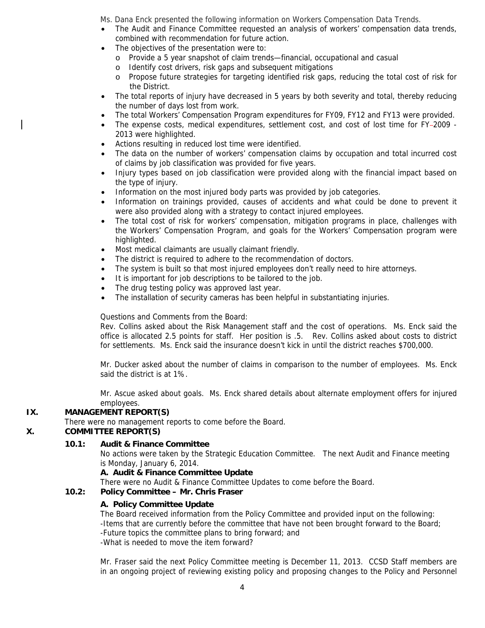Ms. Dana Enck presented the following information on Workers Compensation Data Trends.

- The Audit and Finance Committee requested an analysis of workers' compensation data trends, combined with recommendation for future action.
- The objectives of the presentation were to:
	- o Provide a 5 year snapshot of claim trends—financial, occupational and casual
	- o Identify cost drivers, risk gaps and subsequent mitigations
	- o Propose future strategies for targeting identified risk gaps, reducing the total cost of risk for the District.
- The total reports of injury have decreased in 5 years by both severity and total, thereby reducing the number of days lost from work.
- The total Workers' Compensation Program expenditures for FY09, FY12 and FY13 were provided.
- The expense costs, medical expenditures, settlement cost, and cost of lost time for FY-2009 -2013 were highlighted.
- Actions resulting in reduced lost time were identified.
- The data on the number of workers' compensation claims by occupation and total incurred cost of claims by job classification was provided for five years.
- Injury types based on job classification were provided along with the financial impact based on the type of injury.
- Information on the most injured body parts was provided by job categories.
- Information on trainings provided, causes of accidents and what could be done to prevent it were also provided along with a strategy to contact injured employees.
- The total cost of risk for workers' compensation, mitigation programs in place, challenges with the Workers' Compensation Program, and goals for the Workers' Compensation program were highlighted.
- Most medical claimants are usually claimant friendly.
- The district is required to adhere to the recommendation of doctors.
- The system is built so that most injured employees don't really need to hire attorneys.
- It is important for job descriptions to be tailored to the job.
- The drug testing policy was approved last year.
- The installation of security cameras has been helpful in substantiating injuries.

# Questions and Comments from the Board:

Rev. Collins asked about the Risk Management staff and the cost of operations. Ms. Enck said the office is allocated 2.5 points for staff. Her position is .5. Rev. Collins asked about costs to district for settlements. Ms. Enck said the insurance doesn't kick in until the district reaches \$700,000.

Mr. Ducker asked about the number of claims in comparison to the number of employees. Ms. Enck said the district is at 1%.

Mr. Ascue asked about goals. Ms. Enck shared details about alternate employment offers for injured employees.

# **IX. MANAGEMENT REPORT(S)**

There were no management reports to come before the Board.

# **X. COMMITTEE REPORT(S)**

# **10.1: Audit & Finance Committee**

No actions were taken by the Strategic Education Committee. The next Audit and Finance meeting is Monday, January 6, 2014.

# **A. Audit & Finance Committee Update**

There were no Audit & Finance Committee Updates to come before the Board.

# **10.2: Policy Committee – Mr. Chris Fraser**

# **A. Policy Committee Update**

The Board received information from the Policy Committee and provided input on the following: -Items that are currently before the committee that have not been brought forward to the Board; -Future topics the committee plans to bring forward; and -What is needed to move the item forward?

Mr. Fraser said the next Policy Committee meeting is December 11, 2013. CCSD Staff members are in an ongoing project of reviewing existing policy and proposing changes to the Policy and Personnel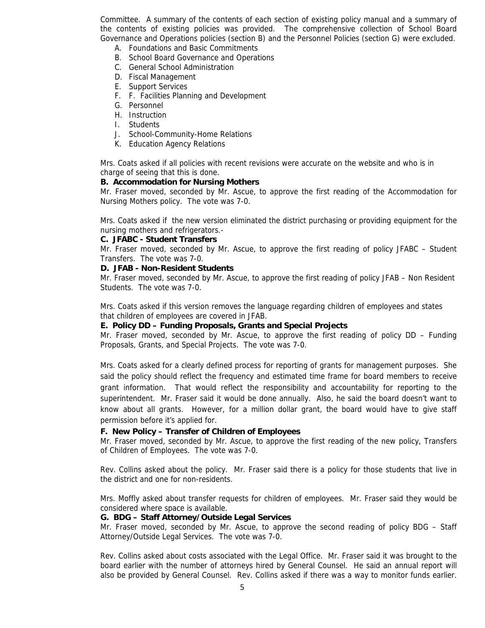Committee. A summary of the contents of each section of existing policy manual and a summary of the contents of existing policies was provided. The comprehensive collection of School Board Governance and Operations policies (section B) and the Personnel Policies (section G) were excluded.

- A. Foundations and Basic Commitments
- B. School Board Governance and Operations
- C. General School Administration
- D. Fiscal Management
- E. Support Services
- F. F. Facilities Planning and Development
- G. Personnel
- H. Instruction
- I. Students
- J. School-Community-Home Relations
- K. Education Agency Relations

Mrs. Coats asked if all policies with recent revisions were accurate on the website and who is in charge of seeing that this is done.

#### **B. Accommodation for Nursing Mothers**

Mr. Fraser moved, seconded by Mr. Ascue, to approve the first reading of the Accommodation for Nursing Mothers policy. The vote was 7-0.

Mrs. Coats asked if the new version eliminated the district purchasing or providing equipment for the nursing mothers and refrigerators.-

#### **C. JFABC - Student Transfers**

Mr. Fraser moved, seconded by Mr. Ascue, to approve the first reading of policy JFABC – Student Transfers. The vote was 7-0.

#### **D. JFAB - Non-Resident Students**

Mr. Fraser moved, seconded by Mr. Ascue, to approve the first reading of policy JFAB – Non Resident Students. The vote was 7-0.

Mrs. Coats asked if this version removes the language regarding children of employees and states that children of employees are covered in JFAB.

#### **E. Policy DD – Funding Proposals, Grants and Special Projects**

Mr. Fraser moved, seconded by Mr. Ascue, to approve the first reading of policy DD – Funding Proposals, Grants, and Special Projects. The vote was 7-0.

Mrs. Coats asked for a clearly defined process for reporting of grants for management purposes. She said the policy should reflect the frequency and estimated time frame for board members to receive grant information. That would reflect the responsibility and accountability for reporting to the superintendent. Mr. Fraser said it would be done annually. Also, he said the board doesn't want to know about all grants. However, for a million dollar grant, the board would have to give staff permission before it's applied for.

#### **F. New Policy – Transfer of Children of Employees**

Mr. Fraser moved, seconded by Mr. Ascue, to approve the first reading of the new policy, Transfers of Children of Employees. The vote was 7-0.

Rev. Collins asked about the policy. Mr. Fraser said there is a policy for those students that live in the district and one for non-residents.

Mrs. Moffly asked about transfer requests for children of employees. Mr. Fraser said they would be considered where space is available.

#### **G. BDG – Staff Attorney/Outside Legal Services**

Mr. Fraser moved, seconded by Mr. Ascue, to approve the second reading of policy BDG – Staff Attorney/Outside Legal Services. The vote was 7-0.

Rev. Collins asked about costs associated with the Legal Office. Mr. Fraser said it was brought to the board earlier with the number of attorneys hired by General Counsel. He said an annual report will also be provided by General Counsel. Rev. Collins asked if there was a way to monitor funds earlier.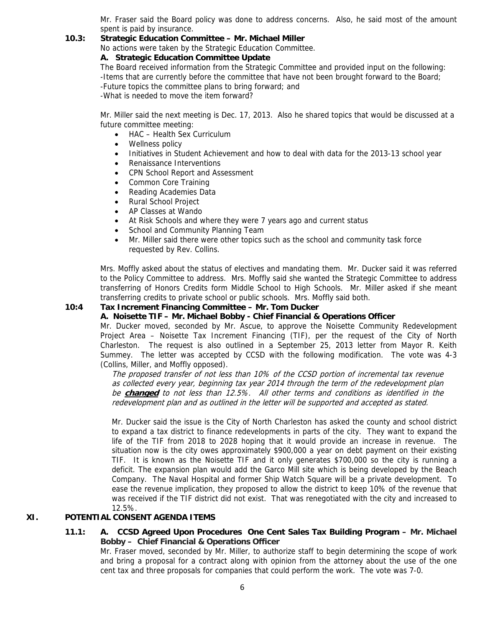Mr. Fraser said the Board policy was done to address concerns. Also, he said most of the amount spent is paid by insurance.

#### **10.3: Strategic Education Committee – Mr. Michael Miller**

No actions were taken by the Strategic Education Committee.

#### **A. Strategic Education Committee Update**

The Board received information from the Strategic Committee and provided input on the following: -Items that are currently before the committee that have not been brought forward to the Board; -Future topics the committee plans to bring forward; and -What is needed to move the item forward?

Mr. Miller said the next meeting is Dec. 17, 2013. Also he shared topics that would be discussed at a future committee meeting:

- HAC Health Sex Curriculum
- Wellness policy
- Initiatives in Student Achievement and how to deal with data for the 2013-13 school year
- Renaissance Interventions
- CPN School Report and Assessment
- Common Core Training
- Reading Academies Data
- Rural School Project
- AP Classes at Wando
- At Risk Schools and where they were 7 years ago and current status
- School and Community Planning Team
- Mr. Miller said there were other topics such as the school and community task force requested by Rev. Collins.

Mrs. Moffly asked about the status of electives and mandating them. Mr. Ducker said it was referred to the Policy Committee to address. Mrs. Moffly said she wanted the Strategic Committee to address transferring of Honors Credits form Middle School to High Schools. Mr. Miller asked if she meant transferring credits to private school or public schools. Mrs. Moffly said both.

# **10:4 Tax Increment Financing Committee – Mr. Tom Ducker**

# **A. Noisette TIF – Mr. Michael Bobby - Chief Financial & Operations Officer**

Mr. Ducker moved, seconded by Mr. Ascue, to approve the Noisette Community Redevelopment Project Area – Noisette Tax Increment Financing (TIF), per the request of the City of North Charleston. The request is also outlined in a September 25, 2013 letter from Mayor R. Keith Summey. The letter was accepted by CCSD with the following modification. The vote was 4-3 (Collins, Miller, and Moffly opposed).

The proposed transfer of not less than 10% of the CCSD portion of incremental tax revenue as collected every year, beginning tax year 2014 through the term of the redevelopment plan be **changed** to not less than 12.5%. All other terms and conditions as identified in the redevelopment plan and as outlined in the letter will be supported and accepted as stated.

Mr. Ducker said the issue is the City of North Charleston has asked the county and school district to expand a tax district to finance redevelopments in parts of the city. They want to expand the life of the TIF from 2018 to 2028 hoping that it would provide an increase in revenue. The situation now is the city owes approximately \$900,000 a year on debt payment on their existing TIF. It is known as the Noisette TIF and it only generates \$700,000 so the city is running a deficit. The expansion plan would add the Garco Mill site which is being developed by the Beach Company. The Naval Hospital and former Ship Watch Square will be a private development. To ease the revenue implication, they proposed to allow the district to keep 10% of the revenue that was received if the TIF district did not exist. That was renegotiated with the city and increased to 12.5%.

# **XI. POTENTIAL CONSENT AGENDA ITEMS**

# **11.1: A. CCSD Agreed Upon Procedures One Cent Sales Tax Building Program – Mr. Michael Bobby – Chief Financial & Operations Officer**

Mr. Fraser moved, seconded by Mr. Miller, to authorize staff to begin determining the scope of work and bring a proposal for a contract along with opinion from the attorney about the use of the one cent tax and three proposals for companies that could perform the work. The vote was 7-0.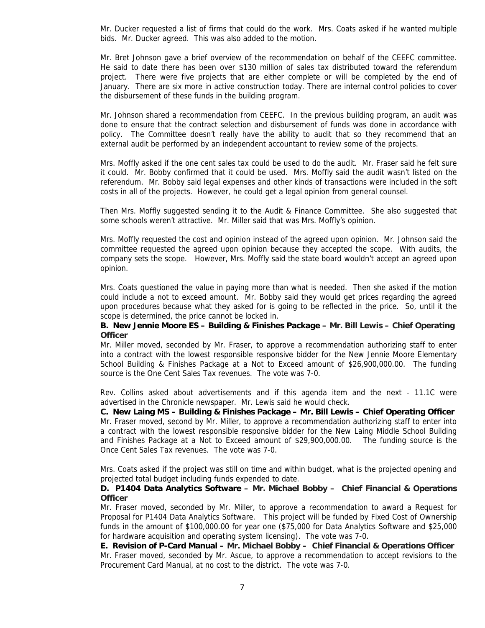Mr. Ducker requested a list of firms that could do the work. Mrs. Coats asked if he wanted multiple bids. Mr. Ducker agreed. This was also added to the motion.

Mr. Bret Johnson gave a brief overview of the recommendation on behalf of the CEEFC committee. He said to date there has been over \$130 million of sales tax distributed toward the referendum project. There were five projects that are either complete or will be completed by the end of January. There are six more in active construction today. There are internal control policies to cover the disbursement of these funds in the building program.

Mr. Johnson shared a recommendation from CEEFC. In the previous building program, an audit was done to ensure that the contract selection and disbursement of funds was done in accordance with policy. The Committee doesn't really have the ability to audit that so they recommend that an external audit be performed by an independent accountant to review some of the projects.

Mrs. Moffly asked if the one cent sales tax could be used to do the audit. Mr. Fraser said he felt sure it could. Mr. Bobby confirmed that it could be used. Mrs. Moffly said the audit wasn't listed on the referendum. Mr. Bobby said legal expenses and other kinds of transactions were included in the soft costs in all of the projects. However, he could get a legal opinion from general counsel.

Then Mrs. Moffly suggested sending it to the Audit & Finance Committee. She also suggested that some schools weren't attractive. Mr. Miller said that was Mrs. Moffly's opinion.

Mrs. Moffly requested the cost and opinion instead of the agreed upon opinion. Mr. Johnson said the committee requested the agreed upon opinion because they accepted the scope. With audits, the company sets the scope. However, Mrs. Moffly said the state board wouldn't accept an agreed upon opinion.

Mrs. Coats questioned the value in paying more than what is needed. Then she asked if the motion could include a not to exceed amount. Mr. Bobby said they would get prices regarding the agreed upon procedures because what they asked for is going to be reflected in the price. So, until it the scope is determined, the price cannot be locked in.

#### **B. New Jennie Moore ES – Building & Finishes Package – Mr. Bill Lewis – Chief Operating Officer**

Mr. Miller moved, seconded by Mr. Fraser, to approve a recommendation authorizing staff to enter into a contract with the lowest responsible responsive bidder for the New Jennie Moore Elementary School Building & Finishes Package at a Not to Exceed amount of \$26,900,000.00. The funding source is the One Cent Sales Tax revenues. The vote was 7-0.

Rev. Collins asked about advertisements and if this agenda item and the next - 11.1C were advertised in the Chronicle newspaper. Mr. Lewis said he would check.

**C. New Laing MS – Building & Finishes Package – Mr. Bill Lewis – Chief Operating Officer**  Mr. Fraser moved, second by Mr. Miller, to approve a recommendation authorizing staff to enter into a contract with the lowest responsible responsive bidder for the New Laing Middle School Building and Finishes Package at a Not to Exceed amount of \$29,900,000.00. The funding source is the Once Cent Sales Tax revenues. The vote was 7-0.

Mrs. Coats asked if the project was still on time and within budget, what is the projected opening and projected total budget including funds expended to date.

#### **D. P1404 Data Analytics Software – Mr. Michael Bobby – Chief Financial & Operations Officer**

Mr. Fraser moved, seconded by Mr. Miller, to approve a recommendation to award a Request for Proposal for P1404 Data Analytics Software. This project will be funded by Fixed Cost of Ownership funds in the amount of \$100,000.00 for year one (\$75,000 for Data Analytics Software and \$25,000 for hardware acquisition and operating system licensing). The vote was 7-0.

**E. Revision of P-Card Manual – Mr. Michael Bobby – Chief Financial & Operations Officer**  Mr. Fraser moved, seconded by Mr. Ascue, to approve a recommendation to accept revisions to the Procurement Card Manual, at no cost to the district. The vote was 7-0.